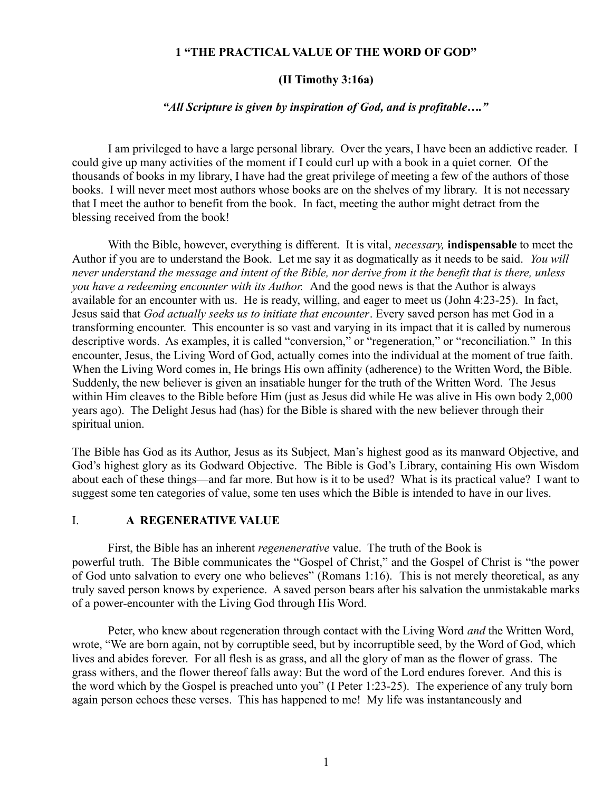## **1 "THE PRACTICAL VALUE OF THE WORD OF GOD"**

## **(II Timothy 3:16a)**

## *"All Scripture is given by inspiration of God, and is profitable…."*

I am privileged to have a large personal library. Over the years, I have been an addictive reader. I could give up many activities of the moment if I could curl up with a book in a quiet corner. Of the thousands of books in my library, I have had the great privilege of meeting a few of the authors of those books. I will never meet most authors whose books are on the shelves of my library. It is not necessary that I meet the author to benefit from the book. In fact, meeting the author might detract from the blessing received from the book!

With the Bible, however, everything is different. It is vital, *necessary,* **indispensable** to meet the Author if you are to understand the Book. Let me say it as dogmatically as it needs to be said. *You will never understand the message and intent of the Bible, nor derive from it the benefit that is there, unless you have a redeeming encounter with its Author.* And the good news is that the Author is always available for an encounter with us. He is ready, willing, and eager to meet us (John 4:23-25). In fact, Jesus said that *God actually seeks us to initiate that encounter*. Every saved person has met God in a transforming encounter. This encounter is so vast and varying in its impact that it is called by numerous descriptive words. As examples, it is called "conversion," or "regeneration," or "reconciliation." In this encounter, Jesus, the Living Word of God, actually comes into the individual at the moment of true faith. When the Living Word comes in, He brings His own affinity (adherence) to the Written Word, the Bible. Suddenly, the new believer is given an insatiable hunger for the truth of the Written Word. The Jesus within Him cleaves to the Bible before Him (just as Jesus did while He was alive in His own body 2,000 years ago). The Delight Jesus had (has) for the Bible is shared with the new believer through their spiritual union.

The Bible has God as its Author, Jesus as its Subject, Man's highest good as its manward Objective, and God's highest glory as its Godward Objective. The Bible is God's Library, containing His own Wisdom about each of these things—and far more. But how is it to be used? What is its practical value? I want to suggest some ten categories of value, some ten uses which the Bible is intended to have in our lives.

#### I. **A REGENERATIVE VALUE**

First, the Bible has an inherent *regenenerative* value. The truth of the Book is powerful truth. The Bible communicates the "Gospel of Christ," and the Gospel of Christ is "the power of God unto salvation to every one who believes" (Romans 1:16). This is not merely theoretical, as any truly saved person knows by experience. A saved person bears after his salvation the unmistakable marks of a power-encounter with the Living God through His Word.

Peter, who knew about regeneration through contact with the Living Word *and* the Written Word, wrote, "We are born again, not by corruptible seed, but by incorruptible seed, by the Word of God, which lives and abides forever. For all flesh is as grass, and all the glory of man as the flower of grass. The grass withers, and the flower thereof falls away: But the word of the Lord endures forever. And this is the word which by the Gospel is preached unto you" (I Peter 1:23-25). The experience of any truly born again person echoes these verses. This has happened to me! My life was instantaneously and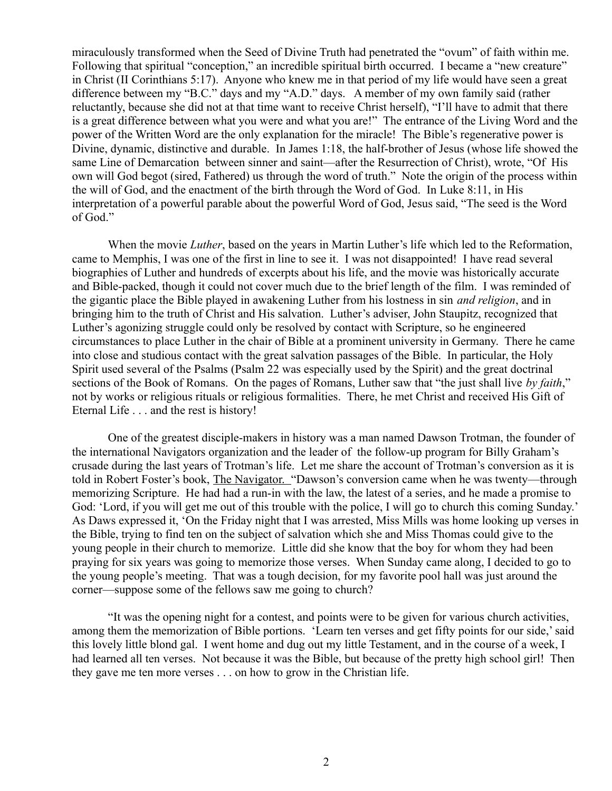miraculously transformed when the Seed of Divine Truth had penetrated the "ovum" of faith within me. Following that spiritual "conception," an incredible spiritual birth occurred. I became a "new creature" in Christ (II Corinthians 5:17). Anyone who knew me in that period of my life would have seen a great difference between my "B.C." days and my "A.D." days. A member of my own family said (rather reluctantly, because she did not at that time want to receive Christ herself), "I'll have to admit that there is a great difference between what you were and what you are!" The entrance of the Living Word and the power of the Written Word are the only explanation for the miracle! The Bible's regenerative power is Divine, dynamic, distinctive and durable. In James 1:18, the half-brother of Jesus (whose life showed the same Line of Demarcation between sinner and saint—after the Resurrection of Christ), wrote, "Of His own will God begot (sired, Fathered) us through the word of truth." Note the origin of the process within the will of God, and the enactment of the birth through the Word of God. In Luke 8:11, in His interpretation of a powerful parable about the powerful Word of God, Jesus said, "The seed is the Word of God."

When the movie *Luther*, based on the years in Martin Luther's life which led to the Reformation, came to Memphis, I was one of the first in line to see it. I was not disappointed! I have read several biographies of Luther and hundreds of excerpts about his life, and the movie was historically accurate and Bible-packed, though it could not cover much due to the brief length of the film. I was reminded of the gigantic place the Bible played in awakening Luther from his lostness in sin *and religion*, and in bringing him to the truth of Christ and His salvation. Luther's adviser, John Staupitz, recognized that Luther's agonizing struggle could only be resolved by contact with Scripture, so he engineered circumstances to place Luther in the chair of Bible at a prominent university in Germany. There he came into close and studious contact with the great salvation passages of the Bible. In particular, the Holy Spirit used several of the Psalms (Psalm 22 was especially used by the Spirit) and the great doctrinal sections of the Book of Romans. On the pages of Romans, Luther saw that "the just shall live *by faith*," not by works or religious rituals or religious formalities. There, he met Christ and received His Gift of Eternal Life . . . and the rest is history!

One of the greatest disciple-makers in history was a man named Dawson Trotman, the founder of the international Navigators organization and the leader of the follow-up program for Billy Graham's crusade during the last years of Trotman's life. Let me share the account of Trotman's conversion as it is told in Robert Foster's book, The Navigator. "Dawson's conversion came when he was twenty—through memorizing Scripture. He had had a run-in with the law, the latest of a series, and he made a promise to God: 'Lord, if you will get me out of this trouble with the police, I will go to church this coming Sunday.' As Daws expressed it, 'On the Friday night that I was arrested, Miss Mills was home looking up verses in the Bible, trying to find ten on the subject of salvation which she and Miss Thomas could give to the young people in their church to memorize. Little did she know that the boy for whom they had been praying for six years was going to memorize those verses. When Sunday came along, I decided to go to the young people's meeting. That was a tough decision, for my favorite pool hall was just around the corner—suppose some of the fellows saw me going to church?

"It was the opening night for a contest, and points were to be given for various church activities, among them the memorization of Bible portions. 'Learn ten verses and get fifty points for our side,' said this lovely little blond gal. I went home and dug out my little Testament, and in the course of a week, I had learned all ten verses. Not because it was the Bible, but because of the pretty high school girl! Then they gave me ten more verses . . . on how to grow in the Christian life.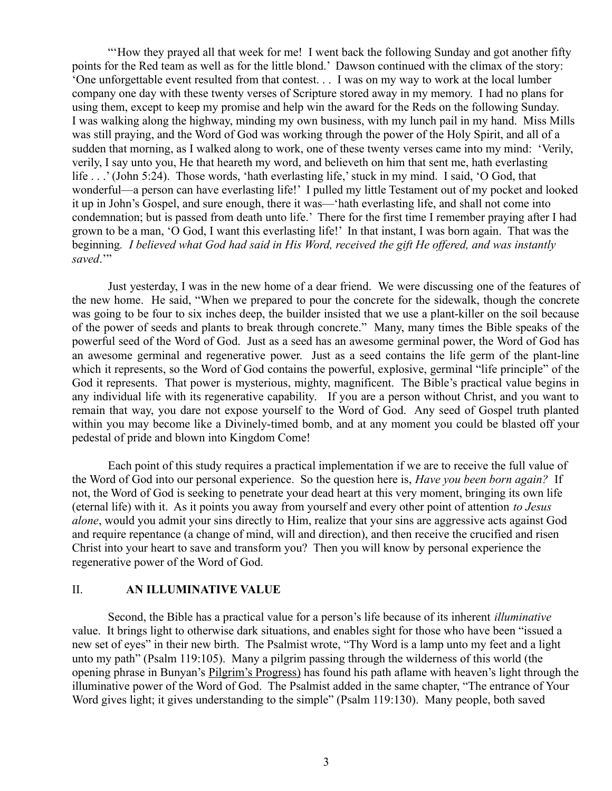"'How they prayed all that week for me! I went back the following Sunday and got another fifty points for the Red team as well as for the little blond.' Dawson continued with the climax of the story: 'One unforgettable event resulted from that contest. . . I was on my way to work at the local lumber company one day with these twenty verses of Scripture stored away in my memory. I had no plans for using them, except to keep my promise and help win the award for the Reds on the following Sunday. I was walking along the highway, minding my own business, with my lunch pail in my hand. Miss Mills was still praying, and the Word of God was working through the power of the Holy Spirit, and all of a sudden that morning, as I walked along to work, one of these twenty verses came into my mind: 'Verily, verily, I say unto you, He that heareth my word, and believeth on him that sent me, hath everlasting life . . .' (John 5:24). Those words, 'hath everlasting life,' stuck in my mind. I said, 'O God, that wonderful—a person can have everlasting life!' I pulled my little Testament out of my pocket and looked it up in John's Gospel, and sure enough, there it was—'hath everlasting life, and shall not come into condemnation; but is passed from death unto life.' There for the first time I remember praying after I had grown to be a man, 'O God, I want this everlasting life!' In that instant, I was born again. That was the beginning*. I believed what God had said in His Word, received the gift He offered, and was instantly* saved."

Just yesterday, I was in the new home of a dear friend. We were discussing one of the features of the new home. He said, "When we prepared to pour the concrete for the sidewalk, though the concrete was going to be four to six inches deep, the builder insisted that we use a plant-killer on the soil because of the power of seeds and plants to break through concrete." Many, many times the Bible speaks of the powerful seed of the Word of God. Just as a seed has an awesome germinal power, the Word of God has an awesome germinal and regenerative power. Just as a seed contains the life germ of the plant-line which it represents, so the Word of God contains the powerful, explosive, germinal "life principle" of the God it represents. That power is mysterious, mighty, magnificent. The Bible's practical value begins in any individual life with its regenerative capability. If you are a person without Christ, and you want to remain that way, you dare not expose yourself to the Word of God. Any seed of Gospel truth planted within you may become like a Divinely-timed bomb, and at any moment you could be blasted off your pedestal of pride and blown into Kingdom Come!

Each point of this study requires a practical implementation if we are to receive the full value of the Word of God into our personal experience. So the question here is, *Have you been born again?* If not, the Word of God is seeking to penetrate your dead heart at this very moment, bringing its own life (eternal life) with it. As it points you away from yourself and every other point of attention *to Jesus alone*, would you admit your sins directly to Him, realize that your sins are aggressive acts against God and require repentance (a change of mind, will and direction), and then receive the crucified and risen Christ into your heart to save and transform you? Then you will know by personal experience the regenerative power of the Word of God.

## II. **AN ILLUMINATIVE VALUE**

Second, the Bible has a practical value for a person's life because of its inherent *illuminative* value. It brings light to otherwise dark situations, and enables sight for those who have been "issued a new set of eyes" in their new birth. The Psalmist wrote, "Thy Word is a lamp unto my feet and a light unto my path" (Psalm 119:105). Many a pilgrim passing through the wilderness of this world (the opening phrase in Bunyan's Pilgrim's Progress) has found his path aflame with heaven's light through the illuminative power of the Word of God. The Psalmist added in the same chapter, "The entrance of Your Word gives light; it gives understanding to the simple" (Psalm 119:130). Many people, both saved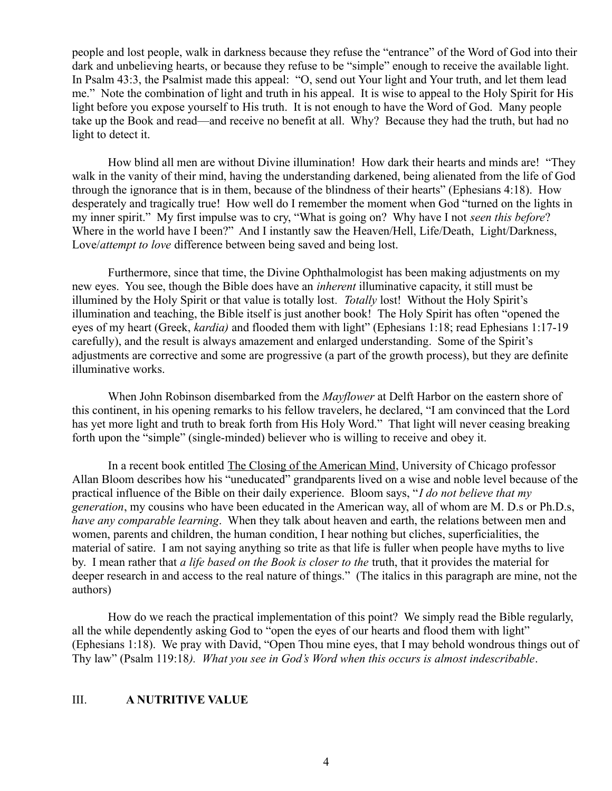people and lost people, walk in darkness because they refuse the "entrance" of the Word of God into their dark and unbelieving hearts, or because they refuse to be "simple" enough to receive the available light. In Psalm 43:3, the Psalmist made this appeal: "O, send out Your light and Your truth, and let them lead me." Note the combination of light and truth in his appeal. It is wise to appeal to the Holy Spirit for His light before you expose yourself to His truth. It is not enough to have the Word of God. Many people take up the Book and read—and receive no benefit at all. Why? Because they had the truth, but had no light to detect it.

How blind all men are without Divine illumination! How dark their hearts and minds are! "They walk in the vanity of their mind, having the understanding darkened, being alienated from the life of God through the ignorance that is in them, because of the blindness of their hearts" (Ephesians 4:18). How desperately and tragically true! How well do I remember the moment when God "turned on the lights in my inner spirit." My first impulse was to cry, "What is going on? Why have I not *seen this before*? Where in the world have I been?" And I instantly saw the Heaven/Hell, Life/Death, Light/Darkness, Love/*attempt to love* difference between being saved and being lost.

Furthermore, since that time, the Divine Ophthalmologist has been making adjustments on my new eyes. You see, though the Bible does have an *inherent* illuminative capacity, it still must be illumined by the Holy Spirit or that value is totally lost*. Totally* lost! Without the Holy Spirit's illumination and teaching, the Bible itself is just another book! The Holy Spirit has often "opened the eyes of my heart (Greek, *kardia)* and flooded them with light" (Ephesians 1:18; read Ephesians 1:17-19 carefully), and the result is always amazement and enlarged understanding. Some of the Spirit's adjustments are corrective and some are progressive (a part of the growth process), but they are definite illuminative works.

When John Robinson disembarked from the *Mayflower* at Delft Harbor on the eastern shore of this continent, in his opening remarks to his fellow travelers, he declared, "I am convinced that the Lord has yet more light and truth to break forth from His Holy Word." That light will never ceasing breaking forth upon the "simple" (single-minded) believer who is willing to receive and obey it.

In a recent book entitled The Closing of the American Mind, University of Chicago professor Allan Bloom describes how his "uneducated" grandparents lived on a wise and noble level because of the practical influence of the Bible on their daily experience. Bloom says, "*I do not believe that my generation*, my cousins who have been educated in the American way, all of whom are M. D.s or Ph.D.s, *have any comparable learning*. When they talk about heaven and earth, the relations between men and women, parents and children, the human condition, I hear nothing but cliches, superficialities, the material of satire. I am not saying anything so trite as that life is fuller when people have myths to live by. I mean rather that *a life based on the Book is closer to the* truth, that it provides the material for deeper research in and access to the real nature of things." (The italics in this paragraph are mine, not the authors)

How do we reach the practical implementation of this point? We simply read the Bible regularly, all the while dependently asking God to "open the eyes of our hearts and flood them with light" (Ephesians 1:18). We pray with David, "Open Thou mine eyes, that I may behold wondrous things out of Thy law" (Psalm 119:18*). What you see in God's Word when this occurs is almost indescribable*.

## III. **A NUTRITIVE VALUE**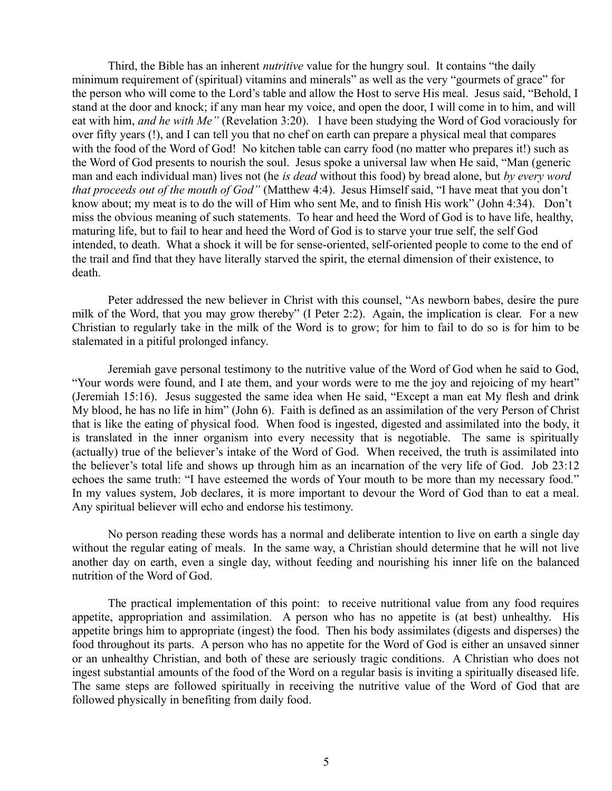Third, the Bible has an inherent *nutritive* value for the hungry soul. It contains "the daily minimum requirement of (spiritual) vitamins and minerals" as well as the very "gourmets of grace" for the person who will come to the Lord's table and allow the Host to serve His meal. Jesus said, "Behold, I stand at the door and knock; if any man hear my voice, and open the door, I will come in to him, and will eat with him, *and he with Me"* (Revelation 3:20). I have been studying the Word of God voraciously for over fifty years (!), and I can tell you that no chef on earth can prepare a physical meal that compares with the food of the Word of God! No kitchen table can carry food (no matter who prepares it!) such as the Word of God presents to nourish the soul. Jesus spoke a universal law when He said, "Man (generic man and each individual man) lives not (he *is dead* without this food) by bread alone, but *by every word that proceeds out of the mouth of God"* (Matthew 4:4). Jesus Himself said, "I have meat that you don't know about; my meat is to do the will of Him who sent Me, and to finish His work" (John 4:34). Don't miss the obvious meaning of such statements. To hear and heed the Word of God is to have life, healthy, maturing life, but to fail to hear and heed the Word of God is to starve your true self, the self God intended, to death. What a shock it will be for sense-oriented, self-oriented people to come to the end of the trail and find that they have literally starved the spirit, the eternal dimension of their existence, to death.

Peter addressed the new believer in Christ with this counsel, "As newborn babes, desire the pure milk of the Word, that you may grow thereby" (I Peter 2:2). Again, the implication is clear. For a new Christian to regularly take in the milk of the Word is to grow; for him to fail to do so is for him to be stalemated in a pitiful prolonged infancy.

Jeremiah gave personal testimony to the nutritive value of the Word of God when he said to God, "Your words were found, and I ate them, and your words were to me the joy and rejoicing of my heart" (Jeremiah 15:16). Jesus suggested the same idea when He said, "Except a man eat My flesh and drink My blood, he has no life in him" (John 6). Faith is defined as an assimilation of the very Person of Christ that is like the eating of physical food. When food is ingested, digested and assimilated into the body, it is translated in the inner organism into every necessity that is negotiable. The same is spiritually (actually) true of the believer's intake of the Word of God. When received, the truth is assimilated into the believer's total life and shows up through him as an incarnation of the very life of God. Job 23:12 echoes the same truth: "I have esteemed the words of Your mouth to be more than my necessary food." In my values system, Job declares, it is more important to devour the Word of God than to eat a meal. Any spiritual believer will echo and endorse his testimony.

No person reading these words has a normal and deliberate intention to live on earth a single day without the regular eating of meals. In the same way, a Christian should determine that he will not live another day on earth, even a single day, without feeding and nourishing his inner life on the balanced nutrition of the Word of God.

The practical implementation of this point: to receive nutritional value from any food requires appetite, appropriation and assimilation. A person who has no appetite is (at best) unhealthy. His appetite brings him to appropriate (ingest) the food. Then his body assimilates (digests and disperses) the food throughout its parts. A person who has no appetite for the Word of God is either an unsaved sinner or an unhealthy Christian, and both of these are seriously tragic conditions. A Christian who does not ingest substantial amounts of the food of the Word on a regular basis is inviting a spiritually diseased life. The same steps are followed spiritually in receiving the nutritive value of the Word of God that are followed physically in benefiting from daily food.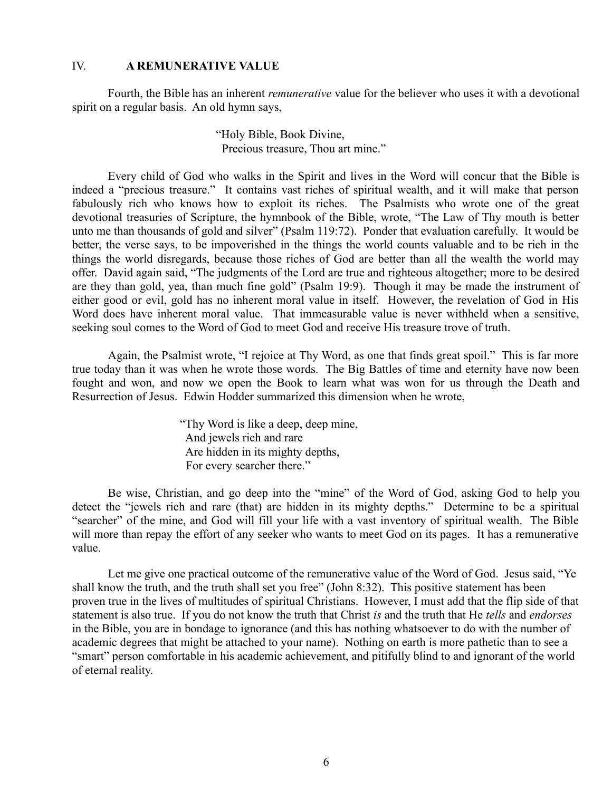## IV. **A REMUNERATIVE VALUE**

Fourth, the Bible has an inherent *remunerative* value for the believer who uses it with a devotional spirit on a regular basis. An old hymn says,

> "Holy Bible, Book Divine, Precious treasure, Thou art mine."

Every child of God who walks in the Spirit and lives in the Word will concur that the Bible is indeed a "precious treasure." It contains vast riches of spiritual wealth, and it will make that person fabulously rich who knows how to exploit its riches. The Psalmists who wrote one of the great devotional treasuries of Scripture, the hymnbook of the Bible, wrote, "The Law of Thy mouth is better unto me than thousands of gold and silver" (Psalm 119:72). Ponder that evaluation carefully. It would be better, the verse says, to be impoverished in the things the world counts valuable and to be rich in the things the world disregards, because those riches of God are better than all the wealth the world may offer. David again said, "The judgments of the Lord are true and righteous altogether; more to be desired are they than gold, yea, than much fine gold" (Psalm 19:9). Though it may be made the instrument of either good or evil, gold has no inherent moral value in itself. However, the revelation of God in His Word does have inherent moral value. That immeasurable value is never withheld when a sensitive, seeking soul comes to the Word of God to meet God and receive His treasure trove of truth.

Again, the Psalmist wrote, "I rejoice at Thy Word, as one that finds great spoil." This is far more true today than it was when he wrote those words. The Big Battles of time and eternity have now been fought and won, and now we open the Book to learn what was won for us through the Death and Resurrection of Jesus. Edwin Hodder summarized this dimension when he wrote,

> "Thy Word is like a deep, deep mine, And jewels rich and rare Are hidden in its mighty depths, For every searcher there."

Be wise, Christian, and go deep into the "mine" of the Word of God, asking God to help you detect the "jewels rich and rare (that) are hidden in its mighty depths." Determine to be a spiritual "searcher" of the mine, and God will fill your life with a vast inventory of spiritual wealth. The Bible will more than repay the effort of any seeker who wants to meet God on its pages. It has a remunerative value.

Let me give one practical outcome of the remunerative value of the Word of God. Jesus said, "Ye shall know the truth, and the truth shall set you free" (John 8:32). This positive statement has been proven true in the lives of multitudes of spiritual Christians. However, I must add that the flip side of that statement is also true. If you do not know the truth that Christ *is* and the truth that He *tells* and *endorses* in the Bible, you are in bondage to ignorance (and this has nothing whatsoever to do with the number of academic degrees that might be attached to your name). Nothing on earth is more pathetic than to see a "smart" person comfortable in his academic achievement, and pitifully blind to and ignorant of the world of eternal reality.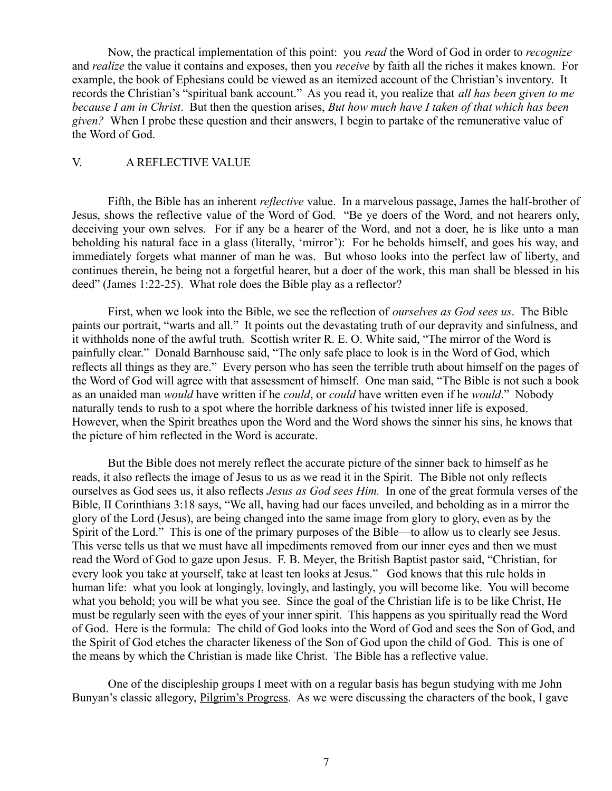Now, the practical implementation of this point: you *read* the Word of God in order to *recognize* and *realize* the value it contains and exposes, then you *receive* by faith all the riches it makes known. For example, the book of Ephesians could be viewed as an itemized account of the Christian's inventory. It records the Christian's "spiritual bank account." As you read it, you realize that *all has been given to me because I am in Christ*. But then the question arises, *But how much have I taken of that which has been given?* When I probe these question and their answers, I begin to partake of the remunerative value of the Word of God.

#### V. A REFLECTIVE VALUE

Fifth, the Bible has an inherent *reflective* value. In a marvelous passage, James the half-brother of Jesus, shows the reflective value of the Word of God. "Be ye doers of the Word, and not hearers only, deceiving your own selves. For if any be a hearer of the Word, and not a doer, he is like unto a man beholding his natural face in a glass (literally, 'mirror'): For he beholds himself, and goes his way, and immediately forgets what manner of man he was. But whoso looks into the perfect law of liberty, and continues therein, he being not a forgetful hearer, but a doer of the work, this man shall be blessed in his deed" (James 1:22-25). What role does the Bible play as a reflector?

First, when we look into the Bible, we see the reflection of *ourselves as God sees us*. The Bible paints our portrait, "warts and all." It points out the devastating truth of our depravity and sinfulness, and it withholds none of the awful truth. Scottish writer R. E. O. White said, "The mirror of the Word is painfully clear." Donald Barnhouse said, "The only safe place to look is in the Word of God, which reflects all things as they are." Every person who has seen the terrible truth about himself on the pages of the Word of God will agree with that assessment of himself. One man said, "The Bible is not such a book as an unaided man *would* have written if he *could*, or *could* have written even if he *would*." Nobody naturally tends to rush to a spot where the horrible darkness of his twisted inner life is exposed. However, when the Spirit breathes upon the Word and the Word shows the sinner his sins, he knows that the picture of him reflected in the Word is accurate.

But the Bible does not merely reflect the accurate picture of the sinner back to himself as he reads, it also reflects the image of Jesus to us as we read it in the Spirit. The Bible not only reflects ourselves as God sees us, it also reflects *Jesus as God sees Him.* In one of the great formula verses of the Bible, II Corinthians 3:18 says, "We all, having had our faces unveiled, and beholding as in a mirror the glory of the Lord (Jesus), are being changed into the same image from glory to glory, even as by the Spirit of the Lord." This is one of the primary purposes of the Bible—to allow us to clearly see Jesus. This verse tells us that we must have all impediments removed from our inner eyes and then we must read the Word of God to gaze upon Jesus. F. B. Meyer, the British Baptist pastor said, "Christian, for every look you take at yourself, take at least ten looks at Jesus." God knows that this rule holds in human life: what you look at longingly, lovingly, and lastingly, you will become like. You will become what you behold; you will be what you see. Since the goal of the Christian life is to be like Christ, He must be regularly seen with the eyes of your inner spirit. This happens as you spiritually read the Word of God. Here is the formula: The child of God looks into the Word of God and sees the Son of God, and the Spirit of God etches the character likeness of the Son of God upon the child of God. This is one of the means by which the Christian is made like Christ. The Bible has a reflective value.

One of the discipleship groups I meet with on a regular basis has begun studying with me John Bunyan's classic allegory, Pilgrim's Progress. As we were discussing the characters of the book, I gave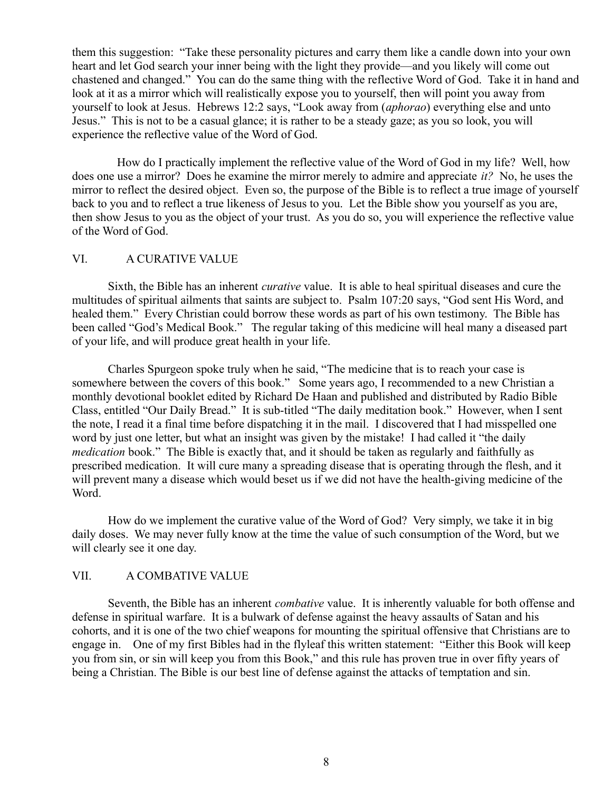them this suggestion: "Take these personality pictures and carry them like a candle down into your own heart and let God search your inner being with the light they provide—and you likely will come out chastened and changed." You can do the same thing with the reflective Word of God. Take it in hand and look at it as a mirror which will realistically expose you to yourself, then will point you away from yourself to look at Jesus. Hebrews 12:2 says, "Look away from (*aphorao*) everything else and unto Jesus." This is not to be a casual glance; it is rather to be a steady gaze; as you so look, you will experience the reflective value of the Word of God.

 How do I practically implement the reflective value of the Word of God in my life? Well, how does one use a mirror? Does he examine the mirror merely to admire and appreciate *it?* No, he uses the mirror to reflect the desired object. Even so, the purpose of the Bible is to reflect a true image of yourself back to you and to reflect a true likeness of Jesus to you. Let the Bible show you yourself as you are, then show Jesus to you as the object of your trust. As you do so, you will experience the reflective value of the Word of God.

# VI. A CURATIVE VALUE

Sixth, the Bible has an inherent *curative* value. It is able to heal spiritual diseases and cure the multitudes of spiritual ailments that saints are subject to. Psalm 107:20 says, "God sent His Word, and healed them." Every Christian could borrow these words as part of his own testimony. The Bible has been called "God's Medical Book." The regular taking of this medicine will heal many a diseased part of your life, and will produce great health in your life.

Charles Spurgeon spoke truly when he said, "The medicine that is to reach your case is somewhere between the covers of this book." Some years ago, I recommended to a new Christian a monthly devotional booklet edited by Richard De Haan and published and distributed by Radio Bible Class, entitled "Our Daily Bread." It is sub-titled "The daily meditation book." However, when I sent the note, I read it a final time before dispatching it in the mail. I discovered that I had misspelled one word by just one letter, but what an insight was given by the mistake! I had called it "the daily *medication* book." The Bible is exactly that, and it should be taken as regularly and faithfully as prescribed medication. It will cure many a spreading disease that is operating through the flesh, and it will prevent many a disease which would beset us if we did not have the health-giving medicine of the Word.

How do we implement the curative value of the Word of God? Very simply, we take it in big daily doses. We may never fully know at the time the value of such consumption of the Word, but we will clearly see it one day.

## VII. A COMBATIVE VALUE

Seventh, the Bible has an inherent *combative* value. It is inherently valuable for both offense and defense in spiritual warfare. It is a bulwark of defense against the heavy assaults of Satan and his cohorts, and it is one of the two chief weapons for mounting the spiritual offensive that Christians are to engage in. One of my first Bibles had in the flyleaf this written statement: "Either this Book will keep you from sin, or sin will keep you from this Book," and this rule has proven true in over fifty years of being a Christian. The Bible is our best line of defense against the attacks of temptation and sin.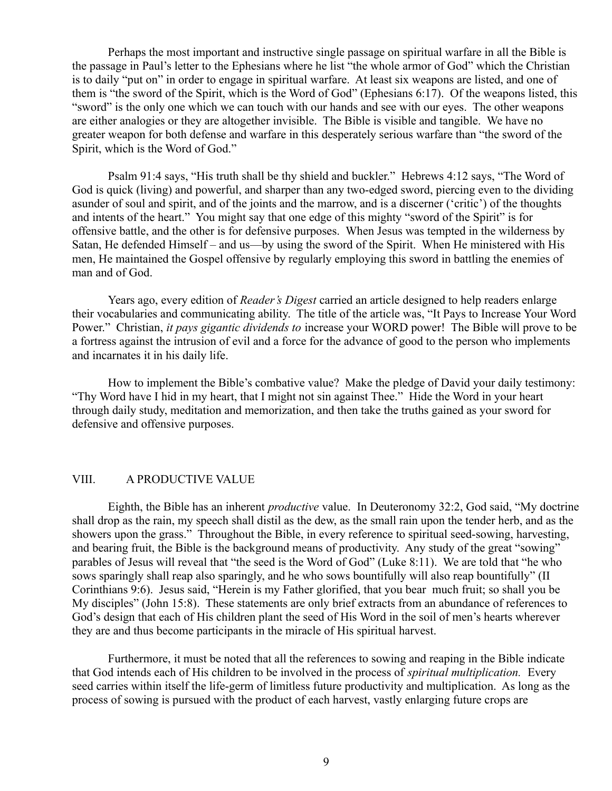Perhaps the most important and instructive single passage on spiritual warfare in all the Bible is the passage in Paul's letter to the Ephesians where he list "the whole armor of God" which the Christian is to daily "put on" in order to engage in spiritual warfare. At least six weapons are listed, and one of them is "the sword of the Spirit, which is the Word of God" (Ephesians 6:17). Of the weapons listed, this "sword" is the only one which we can touch with our hands and see with our eyes. The other weapons are either analogies or they are altogether invisible. The Bible is visible and tangible. We have no greater weapon for both defense and warfare in this desperately serious warfare than "the sword of the Spirit, which is the Word of God."

Psalm 91:4 says, "His truth shall be thy shield and buckler." Hebrews 4:12 says, "The Word of God is quick (living) and powerful, and sharper than any two-edged sword, piercing even to the dividing asunder of soul and spirit, and of the joints and the marrow, and is a discerner ('critic') of the thoughts and intents of the heart." You might say that one edge of this mighty "sword of the Spirit" is for offensive battle, and the other is for defensive purposes. When Jesus was tempted in the wilderness by Satan, He defended Himself – and us—by using the sword of the Spirit. When He ministered with His men, He maintained the Gospel offensive by regularly employing this sword in battling the enemies of man and of God.

Years ago, every edition of *Reader's Digest* carried an article designed to help readers enlarge their vocabularies and communicating ability. The title of the article was, "It Pays to Increase Your Word Power." Christian, *it pays gigantic dividends to* increase your WORD power! The Bible will prove to be a fortress against the intrusion of evil and a force for the advance of good to the person who implements and incarnates it in his daily life.

How to implement the Bible's combative value? Make the pledge of David your daily testimony: "Thy Word have I hid in my heart, that I might not sin against Thee." Hide the Word in your heart through daily study, meditation and memorization, and then take the truths gained as your sword for defensive and offensive purposes.

## VIII. A PRODUCTIVE VALUE

Eighth, the Bible has an inherent *productive* value. In Deuteronomy 32:2, God said, "My doctrine shall drop as the rain, my speech shall distil as the dew, as the small rain upon the tender herb, and as the showers upon the grass." Throughout the Bible, in every reference to spiritual seed-sowing, harvesting, and bearing fruit, the Bible is the background means of productivity. Any study of the great "sowing" parables of Jesus will reveal that "the seed is the Word of God" (Luke 8:11). We are told that "he who sows sparingly shall reap also sparingly, and he who sows bountifully will also reap bountifully" (II Corinthians 9:6). Jesus said, "Herein is my Father glorified, that you bear much fruit; so shall you be My disciples" (John 15:8). These statements are only brief extracts from an abundance of references to God's design that each of His children plant the seed of His Word in the soil of men's hearts wherever they are and thus become participants in the miracle of His spiritual harvest.

Furthermore, it must be noted that all the references to sowing and reaping in the Bible indicate that God intends each of His children to be involved in the process of *spiritual multiplication.* Every seed carries within itself the life-germ of limitless future productivity and multiplication. As long as the process of sowing is pursued with the product of each harvest, vastly enlarging future crops are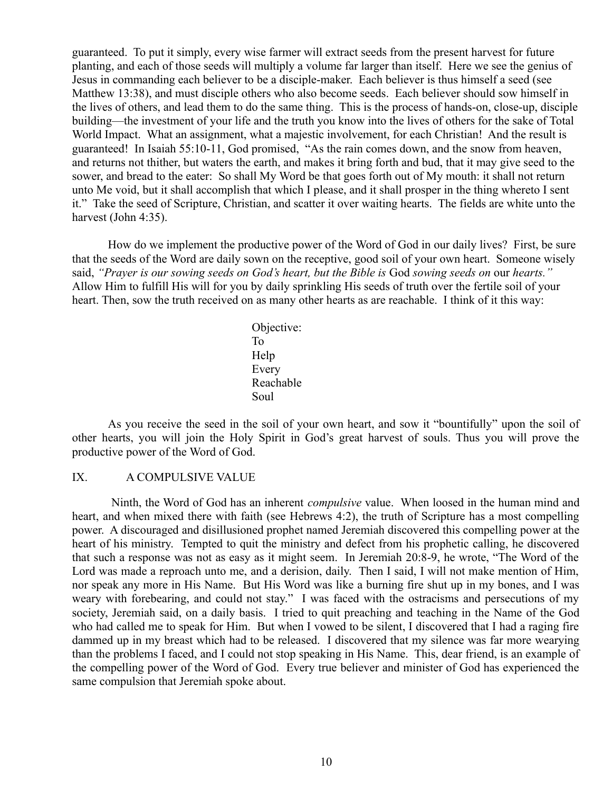guaranteed. To put it simply, every wise farmer will extract seeds from the present harvest for future planting, and each of those seeds will multiply a volume far larger than itself. Here we see the genius of Jesus in commanding each believer to be a disciple-maker. Each believer is thus himself a seed (see Matthew 13:38), and must disciple others who also become seeds. Each believer should sow himself in the lives of others, and lead them to do the same thing. This is the process of hands-on, close-up, disciple building—the investment of your life and the truth you know into the lives of others for the sake of Total World Impact. What an assignment, what a majestic involvement, for each Christian! And the result is guaranteed! In Isaiah 55:10-11, God promised, "As the rain comes down, and the snow from heaven, and returns not thither, but waters the earth, and makes it bring forth and bud, that it may give seed to the sower, and bread to the eater: So shall My Word be that goes forth out of My mouth: it shall not return unto Me void, but it shall accomplish that which I please, and it shall prosper in the thing whereto I sent it." Take the seed of Scripture, Christian, and scatter it over waiting hearts. The fields are white unto the harvest (John 4:35).

How do we implement the productive power of the Word of God in our daily lives? First, be sure that the seeds of the Word are daily sown on the receptive, good soil of your own heart. Someone wisely said, *"Prayer is our sowing seeds on God's heart, but the Bible is* God *sowing seeds on* our *hearts."* Allow Him to fulfill His will for you by daily sprinkling His seeds of truth over the fertile soil of your heart. Then, sow the truth received on as many other hearts as are reachable. I think of it this way:

Objective: **The Contract of the Top To**  Help Every Reachable Soul

As you receive the seed in the soil of your own heart, and sow it "bountifully" upon the soil of other hearts, you will join the Holy Spirit in God's great harvest of souls. Thus you will prove the productive power of the Word of God.

#### IX. A COMPULSIVE VALUE

 Ninth, the Word of God has an inherent *compulsive* value. When loosed in the human mind and heart, and when mixed there with faith (see Hebrews 4:2), the truth of Scripture has a most compelling power. A discouraged and disillusioned prophet named Jeremiah discovered this compelling power at the heart of his ministry. Tempted to quit the ministry and defect from his prophetic calling, he discovered that such a response was not as easy as it might seem. In Jeremiah 20:8-9, he wrote, "The Word of the Lord was made a reproach unto me, and a derision, daily. Then I said, I will not make mention of Him, nor speak any more in His Name. But His Word was like a burning fire shut up in my bones, and I was weary with forebearing, and could not stay." I was faced with the ostracisms and persecutions of my society, Jeremiah said, on a daily basis. I tried to quit preaching and teaching in the Name of the God who had called me to speak for Him. But when I vowed to be silent, I discovered that I had a raging fire dammed up in my breast which had to be released. I discovered that my silence was far more wearying than the problems I faced, and I could not stop speaking in His Name. This, dear friend, is an example of the compelling power of the Word of God. Every true believer and minister of God has experienced the same compulsion that Jeremiah spoke about.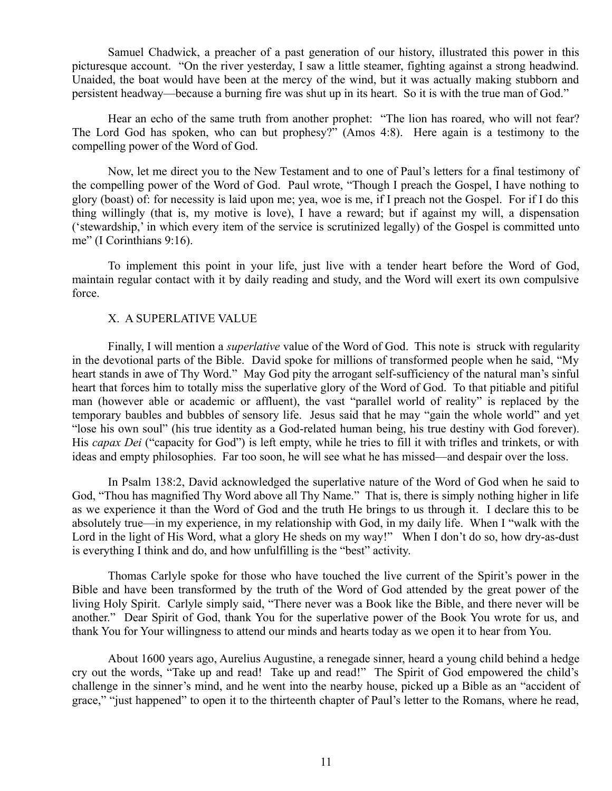Samuel Chadwick, a preacher of a past generation of our history, illustrated this power in this picturesque account. "On the river yesterday, I saw a little steamer, fighting against a strong headwind. Unaided, the boat would have been at the mercy of the wind, but it was actually making stubborn and persistent headway—because a burning fire was shut up in its heart. So it is with the true man of God."

Hear an echo of the same truth from another prophet: "The lion has roared, who will not fear? The Lord God has spoken, who can but prophesy?" (Amos 4:8). Here again is a testimony to the compelling power of the Word of God.

Now, let me direct you to the New Testament and to one of Paul's letters for a final testimony of the compelling power of the Word of God. Paul wrote, "Though I preach the Gospel, I have nothing to glory (boast) of: for necessity is laid upon me; yea, woe is me, if I preach not the Gospel. For if I do this thing willingly (that is, my motive is love), I have a reward; but if against my will, a dispensation ('stewardship,' in which every item of the service is scrutinized legally) of the Gospel is committed unto me" (I Corinthians 9:16).

To implement this point in your life, just live with a tender heart before the Word of God, maintain regular contact with it by daily reading and study, and the Word will exert its own compulsive force.

## X. A SUPERLATIVE VALUE

Finally, I will mention a *superlative* value of the Word of God. This note is struck with regularity in the devotional parts of the Bible. David spoke for millions of transformed people when he said, "My heart stands in awe of Thy Word." May God pity the arrogant self-sufficiency of the natural man's sinful heart that forces him to totally miss the superlative glory of the Word of God. To that pitiable and pitiful man (however able or academic or affluent), the vast "parallel world of reality" is replaced by the temporary baubles and bubbles of sensory life. Jesus said that he may "gain the whole world" and yet "lose his own soul" (his true identity as a God-related human being, his true destiny with God forever). His *capax Dei* ("capacity for God") is left empty, while he tries to fill it with trifles and trinkets, or with ideas and empty philosophies. Far too soon, he will see what he has missed—and despair over the loss.

In Psalm 138:2, David acknowledged the superlative nature of the Word of God when he said to God, "Thou has magnified Thy Word above all Thy Name." That is, there is simply nothing higher in life as we experience it than the Word of God and the truth He brings to us through it. I declare this to be absolutely true—in my experience, in my relationship with God, in my daily life. When I "walk with the Lord in the light of His Word, what a glory He sheds on my way!" When I don't do so, how dry-as-dust is everything I think and do, and how unfulfilling is the "best" activity.

Thomas Carlyle spoke for those who have touched the live current of the Spirit's power in the Bible and have been transformed by the truth of the Word of God attended by the great power of the living Holy Spirit. Carlyle simply said, "There never was a Book like the Bible, and there never will be another." Dear Spirit of God, thank You for the superlative power of the Book You wrote for us, and thank You for Your willingness to attend our minds and hearts today as we open it to hear from You.

About 1600 years ago, Aurelius Augustine, a renegade sinner, heard a young child behind a hedge cry out the words, "Take up and read! Take up and read!" The Spirit of God empowered the child's challenge in the sinner's mind, and he went into the nearby house, picked up a Bible as an "accident of grace," "just happened" to open it to the thirteenth chapter of Paul's letter to the Romans, where he read,